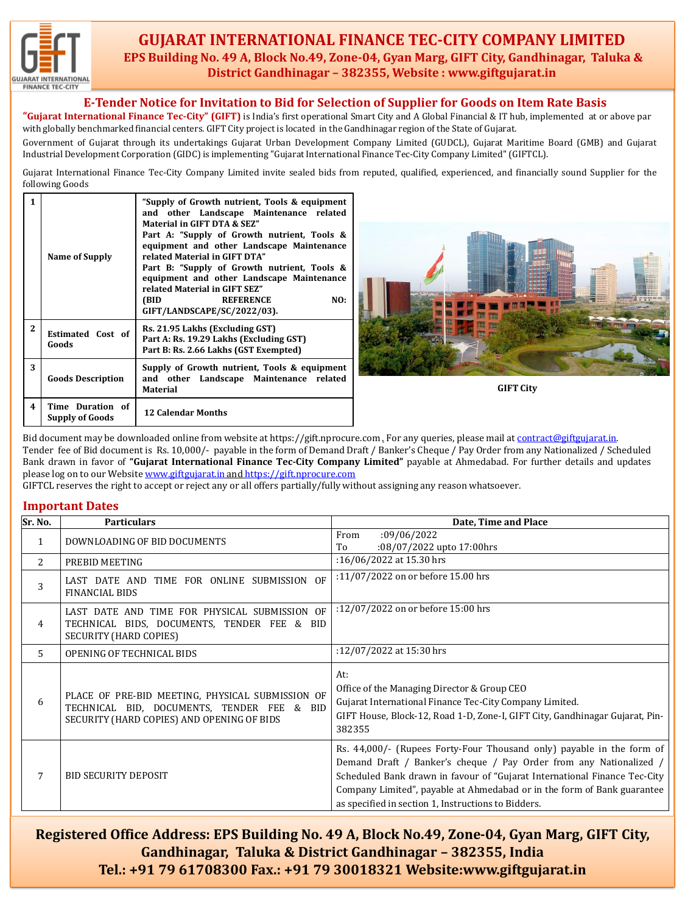

## **GUJARAT INTERNATIONAL FINANCE TEC-CITY COMPANY LIMITED EPS Building No. 49 A, Block No.49, Zone-04, Gyan Marg, GIFT City, Gandhinagar, Taluka & District Gandhinagar – 382355, Website : www.giftgujarat.in**

#### **E-Tender Notice for Invitation to Bid for Selection of Supplier for Goods on Item Rate Basis**

**"Gujarat International Finance Tec-City" (GIFT)** is India's first operational Smart City and A Global Financial & IT hub, implemented at or above par with globally benchmarked financial centers. GIFT City project is located in the Gandhinagar region of the State of Gujarat.

Government of Gujarat through its undertakings Gujarat Urban Development Company Limited (GUDCL), Gujarat Maritime Board (GMB) and Gujarat Industrial Development Corporation (GIDC) is implementing "Gujarat International Finance Tec-City Company Limited" (GIFTCL).

Gujarat International Finance Tec-City Company Limited invite sealed bids from reputed, qualified, experienced, and financially sound Supplier for the following Goods

| 1            | Name of Supply                             | "Supply of Growth nutrient, Tools & equipment<br>and other Landscape Maintenance related<br>Material in GIFT DTA & SEZ"<br>Part A: "Supply of Growth nutrient, Tools &<br>equipment and other Landscape Maintenance<br>related Material in GIFT DTA"<br>Part B: "Supply of Growth nutrient, Tools &<br>equipment and other Landscape Maintenance<br>related Material in GIFT SEZ"<br>(BID)<br><b>REFERENCE</b><br>NO:<br>GIFT/LANDSCAPE/SC/2022/03). |  |
|--------------|--------------------------------------------|------------------------------------------------------------------------------------------------------------------------------------------------------------------------------------------------------------------------------------------------------------------------------------------------------------------------------------------------------------------------------------------------------------------------------------------------------|--|
| $\mathbf{2}$ | Estimated Cost of<br>Goods                 | Rs. 21.95 Lakhs (Excluding GST)<br>Part A: Rs. 19.29 Lakhs (Excluding GST)<br>Part B: Rs. 2.66 Lakhs (GST Exempted)                                                                                                                                                                                                                                                                                                                                  |  |
| 3            | <b>Goods Description</b>                   | Supply of Growth nutrient, Tools & equipment<br>and other Landscape Maintenance related<br><b>Material</b>                                                                                                                                                                                                                                                                                                                                           |  |
| 4            | Time Duration of<br><b>Supply of Goods</b> | <b>12 Calendar Months</b>                                                                                                                                                                                                                                                                                                                                                                                                                            |  |



**GIFT City**

Bid document may be downloaded online from website at https://gift.nprocure.com For any queries, please mail at [contract@giftgujarat.in](mailto:contract@giftgujarat.in). Tender fee of Bid document is Rs. 10,000/- payable in the form of Demand Draft / Banker's Cheque / Pay Order from any Nationalized / Scheduled Bank drawn in favor of **"Gujarat International Finance Tec-City Company Limited"** payable at Ahmedabad. For further details and updates please log on to our Website [www.giftgujarat.in](http://www.giftgujarat.in/) and [https://gift.nprocure.com](mailto:upd@giftgujarat.in)

GIFTCL reserves the right to accept or reject any or all offers partially/fully without assigning any reason whatsoever.

#### **Important Dates**

| Sr. No.        | <b>Particulars</b>                                                                                                                           | Date, Time and Place                                                                                                                                                                                                                                                                                                                                       |
|----------------|----------------------------------------------------------------------------------------------------------------------------------------------|------------------------------------------------------------------------------------------------------------------------------------------------------------------------------------------------------------------------------------------------------------------------------------------------------------------------------------------------------------|
| $\mathbf{1}$   | DOWNLOADING OF BID DOCUMENTS                                                                                                                 | :09/06/2022<br>From<br>:08/07/2022 upto 17:00hrs<br>To                                                                                                                                                                                                                                                                                                     |
| $\overline{2}$ | PREBID MEETING                                                                                                                               | :16/06/2022 at 15.30 hrs                                                                                                                                                                                                                                                                                                                                   |
| 3              | LAST DATE AND TIME FOR ONLINE SUBMISSION OF<br><b>FINANCIAL BIDS</b>                                                                         | :11/07/2022 on or before 15.00 hrs                                                                                                                                                                                                                                                                                                                         |
| 4              | LAST DATE AND TIME FOR PHYSICAL SUBMISSION OF<br>TECHNICAL BIDS, DOCUMENTS, TENDER FEE & BID<br><b>SECURITY (HARD COPIES)</b>                | :12/07/2022 on or before 15:00 hrs                                                                                                                                                                                                                                                                                                                         |
| 5              | OPENING OF TECHNICAL BIDS                                                                                                                    | :12/07/2022 at 15:30 hrs                                                                                                                                                                                                                                                                                                                                   |
| 6              | PLACE OF PRE-BID MEETING, PHYSICAL SUBMISSION OF<br>TECHNICAL BID, DOCUMENTS, TENDER FEE & BID<br>SECURITY (HARD COPIES) AND OPENING OF BIDS | At:<br>Office of the Managing Director & Group CEO<br>Gujarat International Finance Tec-City Company Limited.<br>GIFT House, Block-12, Road 1-D, Zone-I, GIFT City, Gandhinagar Gujarat, Pin-<br>382355                                                                                                                                                    |
| 7              | <b>BID SECURITY DEPOSIT</b>                                                                                                                  | Rs. 44,000/- (Rupees Forty-Four Thousand only) payable in the form of<br>Demand Draft / Banker's cheque / Pay Order from any Nationalized /<br>Scheduled Bank drawn in favour of "Gujarat International Finance Tec-City<br>Company Limited", payable at Ahmedabad or in the form of Bank guarantee<br>as specified in section 1, Instructions to Bidders. |

**Registered Office Address: EPS Building No. 49 A, Block No.49, Zone-04, Gyan Marg, GIFT City, Gandhinagar, Taluka & District Gandhinagar – 382355, India Tel.: +91 79 61708300 Fax.: +91 79 30018321 Website:www.giftgujarat.in**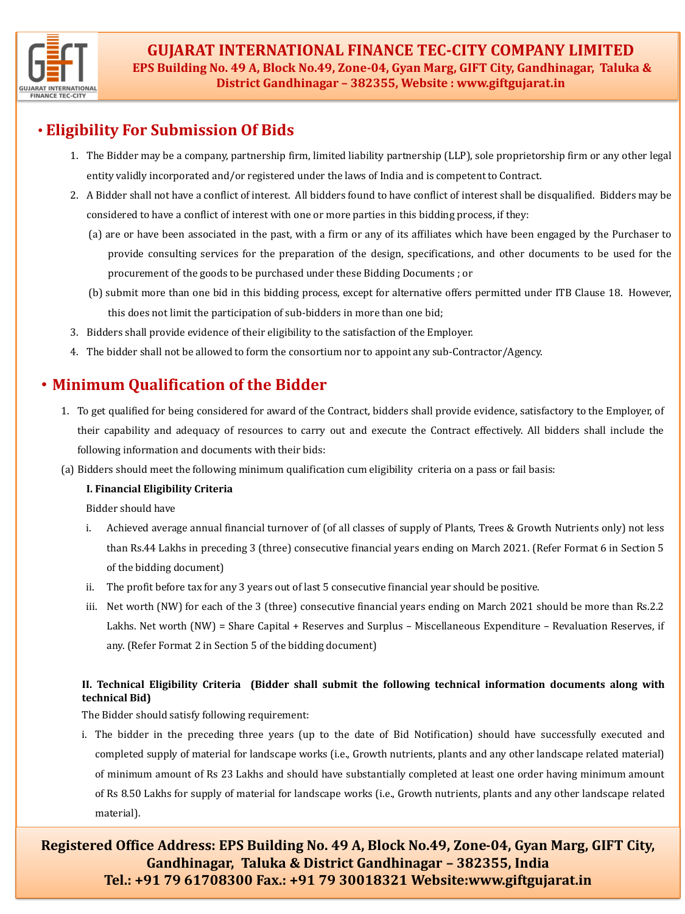

# • **Eligibility For Submission Of Bids**

- 1. The Bidder may be a company, partnership firm, limited liability partnership (LLP), sole proprietorship firm or any other legal entity validly incorporated and/or registered under the laws of India and is competent to Contract.
- 2. A Bidder shall not have a conflict of interest. All bidders found to have conflict of interest shall be disqualified. Bidders may be considered to have a conflict of interest with one or more parties in this bidding process, if they:
	- (a) are or have been associated in the past, with a firm or any of its affiliates which have been engaged by the Purchaser to provide consulting services for the preparation of the design, specifications, and other documents to be used for the procurement of the goods to be purchased under these Bidding Documents ; or
	- (b) submit more than one bid in this bidding process, except for alternative offers permitted under ITB Clause 18. However, this does not limit the participation of sub-bidders in more than one bid;
- 3. Bidders shall provide evidence of their eligibility to the satisfaction of the Employer.
- 4. The bidder shall not be allowed to form the consortium nor to appoint any sub-Contractor/Agency.

# • **Minimum Qualification of the Bidder**

- 1. To get qualified for being considered for award of the Contract, bidders shall provide evidence, satisfactory to the Employer, of their capability and adequacy of resources to carry out and execute the Contract effectively. All bidders shall include the following information and documents with their bids:
- (a) Bidders should meet the following minimum qualification cum eligibility criteria on a pass or fail basis:

#### **I. Financial Eligibility Criteria**

Bidder should have

- i. Achieved average annual financial turnover of (of all classes of supply of Plants, Trees & Growth Nutrients only) not less than Rs.44 Lakhs in preceding 3 (three) consecutive financial years ending on March 2021. (Refer Format 6 in Section 5 of the bidding document)
- ii. The profit before tax for any 3 years out of last 5 consecutive financial year should be positive.
- iii. Net worth (NW) for each of the 3 (three) consecutive financial years ending on March 2021 should be more than Rs.2.2 Lakhs. Net worth (NW) = Share Capital + Reserves and Surplus – Miscellaneous Expenditure – Revaluation Reserves, if any. (Refer Format 2 in Section 5 of the bidding document)

## **II. Technical Eligibility Criteria (Bidder shall submit the following technical information documents along with technical Bid)**

The Bidder should satisfy following requirement:

i. The bidder in the preceding three years (up to the date of Bid Notification) should have successfully executed and completed supply of material for landscape works (i.e., Growth nutrients, plants and any other landscape related material) of minimum amount of Rs 23 Lakhs and should have substantially completed at least one order having minimum amount of Rs 8.50 Lakhs for supply of material for landscape works (i.e., Growth nutrients, plants and any other landscape related material).

**Registered Office Address: EPS Building No. 49 A, Block No.49, Zone-04, Gyan Marg, GIFT City, Gandhinagar, Taluka & District Gandhinagar – 382355, India Tel.: +91 79 61708300 Fax.: +91 79 30018321 Website:www.giftgujarat.in**